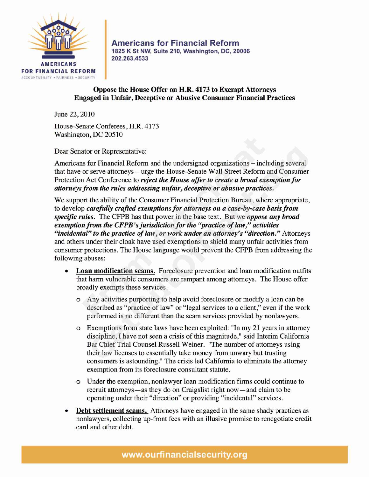

**Americans for Financial Reform 1825 K St NW, Suite 210, Washington, DC, 20006 202.263.4533**

## **Oppose the House Offer on H.R. 4173 to Exempt Attorneys Engaged in Unfair, Deceptive or Abusive Consumer Financial Practices**

June 22, 2010

House-Senate Conferees, H.R. 4173 Washington, DC 20510

Dear Senator or Representative:

Americans for Financial Reform and the undersigned organizations — including several that have or serve attorneys — urge the House-Senate Wall Street Reform and Consumer Protection Act Conference to **reject the House offer to create a broad exemption for attorneysfrom the rules addressing unfair, deceptive or abusive practices.**

We support the ability of the Consumer Financial Protection Bureau, where appropriate, to develop **carefully crafted exemptions for attorneys on a case-by-case basisfrom specific rules.** The CFPB has that power in the base text. But we **oppose any broad exemption from the CFPB's jurisdiction for the "practice of law," activities "incidental" to the practice of law, or work under an attorney's "direction."** Attorneys and others under their cloak have used exemptions to shield many unfair activities from consumer protections. The House language would prevent the CFPB from addressing the following abuses:

- **• Loan modification seams.** Foreclosure prevention and loan modification outfits that harm vulnerable consumers are rampant among attorneys. The House offer broadly exempts these services.
	- o Any activities purporting to help avoid foreclosure or modify a loan can be described as "practice of law" or "legal services to a client," even if the work performed is no different than the scam services provided by nonlawyers.
	- o Exemptions from state laws have been exploited: "In my 21 years in attorney discipline, I have not seen a crisis of this magnitude," said Interim California Bar Chief Trial Counsel Russell Weiner. "The number of attorneys using their law licenses to essentially take money from unwary but trusting consumers is astounding." The crisis led California to eliminate the attorney exemption from its foreclosure consultant statute.
	- o Under the exemption, nonlawyer loan modification firms could continue to recruit attorneys — as they do on Craigslist right now — and claim to be operating under their "direction" or providing "incidental" services.
- **Debt settlement scams.** Attorneys have engaged in the same shady practices as nonlawyers, collecting up-front fees with an illusive promise to renegotiate credit card and other debt.

www.ourfinancialsecurity.org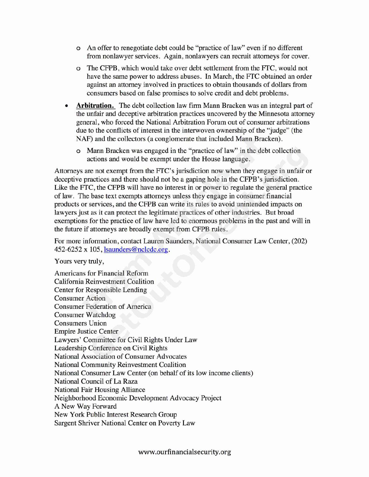- o An offer to renegotiate debt could be "practice of law" even if no different from nonlawyer services. Again, nonlawyers can recruit attorneys for cover.
- o The CFPB, which would take over debt settlement from the FTC, would not have the same power to address abuses. In March, the FTC obtained an order against an attorney involved in practices to obtain thousands of dollars from consumers based on false promises to solve credit and debt problems.
- **• Arbitration.** The debt collection law firm Mann Bracken was an integral part of the unfair and deceptive arbitration practices uncovered by the Minnesota attorney general, who forced the National Arbitration Forum out of consumer arbitrations due to the conflicts of interest in the interwoven ownership of the "judge" (the NAF) and the collectors (a conglomerate that included Mann Bracken).
	- o Mann Bracken was engaged in the "practice of law" in the debt collection actions and would be exempt under the House language.

Attorneys are not exempt from the FTC's jurisdiction now when they engage in unfair or deceptive practices and there should not be a gaping hole in the CFPB's jurisdiction. Like the FTC, the CFPB will have no interest in or power to regulate the general practice of law. The base text exempts attorneys unless they engage in consumer financial products or services, and the CFPB can write its rules to avoid unintended impacts on lawyers just as it can protect the legitimate practices of other industries. But broad exemptions for the practice of law have led to enormous problems in the past and will in the future if attorneys are broadly exempt from CFPB rules.

For more information, contact Lauren Saunders, National Consumer Law Center, (202) 452-6252 x 105, Isaunders@nclcdc.org.

Yours very truly,

Americans for Financial Reform California Reinvestment Coalition Center for Responsible Lending Consumer Action Consumer Federation of America Consumer Watchdog Consumers Union Empire Justice Center Lawyers' Committee for Civil Rights Under Law Leadership Conference on Civil Rights National Association of Consumer Advocates National Community Reinvestment Coalition National Consumer Law Center (on behalf of its low income clients) National Council of La Raza National Fair Housing Alliance Neighborhood Economic Development Advocacy Project A New Way Forward New York Public Interest Research Group Sargent Shriver National Center on Poverty Law